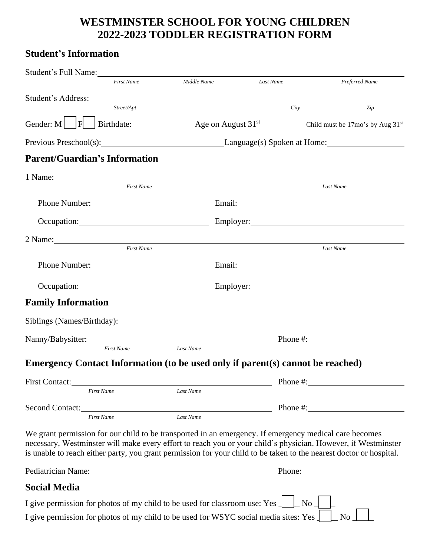## **WESTMINSTER SCHOOL FOR YOUNG CHILDREN 2022-2023 TODDLER REGISTRATION FORM**

## **Student's Information**

| Student's Full Name:                                                                                                                                                                                                                                                                                                                           |                   |             |                                           |       |                                                                                                                                                                                                                                |  |
|------------------------------------------------------------------------------------------------------------------------------------------------------------------------------------------------------------------------------------------------------------------------------------------------------------------------------------------------|-------------------|-------------|-------------------------------------------|-------|--------------------------------------------------------------------------------------------------------------------------------------------------------------------------------------------------------------------------------|--|
|                                                                                                                                                                                                                                                                                                                                                | <b>First Name</b> | Middle Name | Last Name                                 |       | Preferred Name                                                                                                                                                                                                                 |  |
| Student's Address: Note and the Student's Address:                                                                                                                                                                                                                                                                                             |                   |             |                                           |       |                                                                                                                                                                                                                                |  |
|                                                                                                                                                                                                                                                                                                                                                | Street/Apt        |             |                                           | City  | Zip                                                                                                                                                                                                                            |  |
|                                                                                                                                                                                                                                                                                                                                                |                   |             |                                           |       | Gender: M $\Box$ F Birthdate: Age on August $31^{st}$ Child must be 17mo's by Aug $31^{st}$                                                                                                                                    |  |
|                                                                                                                                                                                                                                                                                                                                                |                   |             |                                           |       |                                                                                                                                                                                                                                |  |
| <b>Parent/Guardian's Information</b>                                                                                                                                                                                                                                                                                                           |                   |             |                                           |       |                                                                                                                                                                                                                                |  |
|                                                                                                                                                                                                                                                                                                                                                |                   |             |                                           |       |                                                                                                                                                                                                                                |  |
|                                                                                                                                                                                                                                                                                                                                                | <b>First Name</b> |             |                                           |       | Last Name                                                                                                                                                                                                                      |  |
|                                                                                                                                                                                                                                                                                                                                                |                   |             |                                           |       |                                                                                                                                                                                                                                |  |
|                                                                                                                                                                                                                                                                                                                                                |                   |             |                                           |       | Occupation: Employer: Employer: Employer:                                                                                                                                                                                      |  |
|                                                                                                                                                                                                                                                                                                                                                |                   |             |                                           |       |                                                                                                                                                                                                                                |  |
| 2 Name: 2 Name 2 Name 2 Name 2 Name 2 Name 2 Name 2 Name 2 Name 2 Name 2 Name 2 Name 2 Name 2 Name 2 Name 2 Name 2 Name 2 Name 2 Name 2 Name 2 Name 2 Name 2 Name 2 Name 2 Name 2 Name 2 Name 2 Name 2 Name 2 Name 2 Name 2 Na                                                                                                                 | <b>First Name</b> |             |                                           |       | Last Name                                                                                                                                                                                                                      |  |
|                                                                                                                                                                                                                                                                                                                                                |                   |             | Phone Number: Email: Email:               |       |                                                                                                                                                                                                                                |  |
|                                                                                                                                                                                                                                                                                                                                                |                   |             | Occupation: Employer: Employer: Employer: |       |                                                                                                                                                                                                                                |  |
| <b>Family Information</b>                                                                                                                                                                                                                                                                                                                      |                   |             |                                           |       |                                                                                                                                                                                                                                |  |
|                                                                                                                                                                                                                                                                                                                                                |                   |             |                                           |       |                                                                                                                                                                                                                                |  |
| Siblings (Names/Birthday): Names and Siblings (Names/Birthday):                                                                                                                                                                                                                                                                                |                   |             |                                           |       |                                                                                                                                                                                                                                |  |
|                                                                                                                                                                                                                                                                                                                                                | <b>First Name</b> | Last Name   |                                           |       | Nanny/Babysitter: Phone #:                                                                                                                                                                                                     |  |
|                                                                                                                                                                                                                                                                                                                                                |                   |             |                                           |       |                                                                                                                                                                                                                                |  |
| Emergency Contact Information (to be used only if parent(s) cannot be reached)                                                                                                                                                                                                                                                                 |                   |             |                                           |       |                                                                                                                                                                                                                                |  |
| First Contact:<br><b>First Name</b>                                                                                                                                                                                                                                                                                                            |                   | Last Name   |                                           |       |                                                                                                                                                                                                                                |  |
|                                                                                                                                                                                                                                                                                                                                                |                   |             |                                           |       |                                                                                                                                                                                                                                |  |
| <b>First Name</b>                                                                                                                                                                                                                                                                                                                              |                   | Last Name   |                                           |       | Phone $\#$ :                                                                                                                                                                                                                   |  |
| We grant permission for our child to be transported in an emergency. If emergency medical care becomes<br>necessary, Westminster will make every effort to reach you or your child's physician. However, if Westminster<br>is unable to reach either party, you grant permission for your child to be taken to the nearest doctor or hospital. |                   |             |                                           |       |                                                                                                                                                                                                                                |  |
| Pediatrician Name: 1988 and 2008 and 2010 and 2010 and 2010 and 2010 and 2010 and 2010 and 2010 and 2010 and 2010 and 2010 and 2010 and 2010 and 2010 and 2010 and 2010 and 2010 and 2010 and 2010 and 2010 and 2010 and 2010                                                                                                                  |                   |             |                                           |       | Phone: 2008. Expanding the contract of the contract of the contract of the contract of the contract of the contract of the contract of the contract of the contract of the contract of the contract of the contract of the con |  |
| <b>Social Media</b>                                                                                                                                                                                                                                                                                                                            |                   |             |                                           |       |                                                                                                                                                                                                                                |  |
| I give permission for photos of my child to be used for classroom use: Yes $\perp$                                                                                                                                                                                                                                                             |                   |             |                                           | $No_$ |                                                                                                                                                                                                                                |  |
| I give permission for photos of my child to be used for WSYC social media sites: Yes                                                                                                                                                                                                                                                           |                   |             |                                           |       | <b>No</b>                                                                                                                                                                                                                      |  |